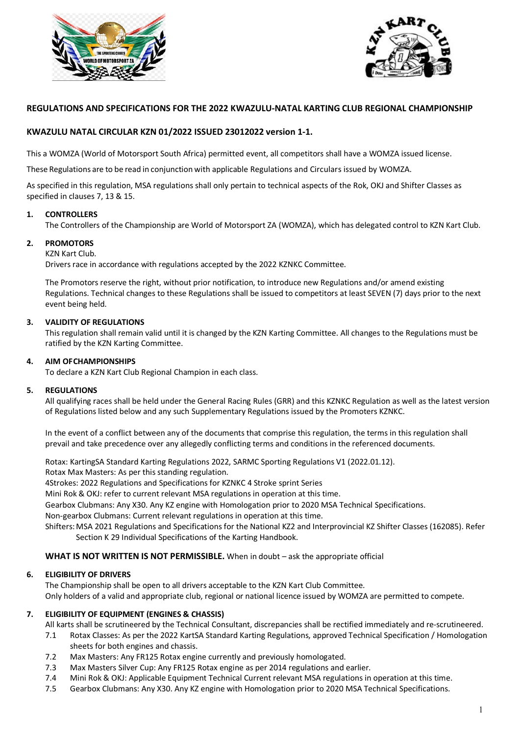



# **REGULATIONS AND SPECIFICATIONS FOR THE 2022 KWAZULU-NATAL KARTING CLUB REGIONAL CHAMPIONSHIP**

### **KWAZULU NATAL CIRCULAR KZN 01/2022 ISSUED 23012022 version 1-1.**

This a WOMZA (World of Motorsport South Africa) permitted event, all competitors shall have a WOMZA issued license.

These Regulations are to be read in conjunction with applicable Regulations and Circulars issued by WOMZA.

As specified in this regulation, MSA regulations shall only pertain to technical aspects of the Rok, OKJ and Shifter Classes as specified in clauses 7, 13 & 15.

#### **1. CONTROLLERS**

The Controllers of the Championship are World of Motorsport ZA (WOMZA), which has delegated control to KZN Kart Club.

# **2. PROMOTORS**

#### KZN Kart Club.

Drivers race in accordance with regulations accepted by the 2022 KZNKC Committee.

The Promotors reserve the right, without prior notification, to introduce new Regulations and/or amend existing Regulations. Technical changes to these Regulations shall be issued to competitors at least SEVEN (7) days prior to the next event being held.

#### **3. VALIDITY OF REGULATIONS**

This regulation shall remain valid until it is changed by the KZN Karting Committee. All changes to the Regulations must be ratified by the KZN Karting Committee.

#### **4. AIM OFCHAMPIONSHIPS**

To declare a KZN Kart Club Regional Champion in each class.

#### **5. REGULATIONS**

All qualifying races shall be held under the General Racing Rules (GRR) and this KZNKC Regulation as well as the latest version of Regulations listed below and any such Supplementary Regulations issued by the Promoters KZNKC.

In the event of a conflict between any of the documents that comprise this regulation, the terms in this regulation shall prevail and take precedence over any allegedly conflicting terms and conditions in the referenced documents.

Rotax: KartingSA Standard Karting Regulations 2022, SARMC Sporting Regulations V1 (2022.01.12).

Rotax Max Masters: As per this standing regulation.

4Strokes: 2022 Regulations and Specifications for KZNKC 4 Stroke sprint Series

Mini Rok & OKJ: refer to current relevant MSA regulations in operation at this time.

Gearbox Clubmans: Any X30. Any KZ engine with Homologation prior to 2020 MSA Technical Specifications.

Non-gearbox Clubmans: Current relevant regulations in operation at this time.

Shifters:MSA 2021 Regulations and Specifications for the National KZ2 and Interprovincial KZ Shifter Classes (162085). Refer Section K 29 Individual Specifications of the Karting Handbook.

#### **WHAT IS NOT WRITTEN IS NOT PERMISSIBLE.** When in doubt – ask the appropriate official

#### **6. ELIGIBILITY OF DRIVERS**

The Championship shall be open to all drivers acceptable to the KZN Kart Club Committee. Only holders of a valid and appropriate club, regional or national licence issued by WOMZA are permitted to compete.

#### **7. ELIGIBILITY OF EQUIPMENT (ENGINES & CHASSIS)**

All karts shall be scrutineered by the Technical Consultant, discrepancies shall be rectified immediately and re-scrutineered.

- 7.1 Rotax Classes: As per the 2022 KartSA Standard Karting Regulations, approved Technical Specification / Homologation sheets for both engines and chassis.
- 7.2 Max Masters: Any FR125 Rotax engine currently and previously homologated.
- 7.3 Max Masters Silver Cup: Any FR125 Rotax engine as per 2014 regulations and earlier.
- 7.4 Mini Rok & OKJ: Applicable Equipment Technical Current relevant MSA regulations in operation at this time.
- 7.5 Gearbox Clubmans: Any X30. Any KZ engine with Homologation prior to 2020 MSA Technical Specifications.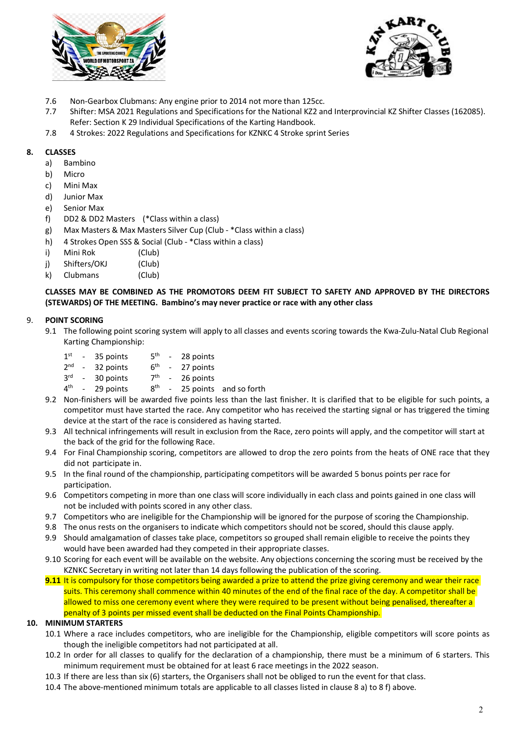



- 7.6 Non-Gearbox Clubmans: Any engine prior to 2014 not more than 125cc.
- 7.7 Shifter: MSA 2021 Regulations and Specifications for the National KZ2 and Interprovincial KZ Shifter Classes (162085). Refer: Section K 29 Individual Specifications of the Karting Handbook.
- 7.8 4 Strokes: 2022 Regulations and Specifications for KZNKC 4 Stroke sprint Series

### **8. CLASSES**

- a) Bambino
- b) Micro
- c) Mini Max
- d) Junior Max
- e) Senior Max
- f) DD2 & DD2 Masters (\*Class within a class)
- g) Max Masters & Max Masters Silver Cup (Club \*Class within a class)
- h) 4 Strokes Open SSS & Social (Club \*Class within a class)
- i) Mini Rok (Club)
- j) Shifters/OKJ (Club)
- k) Clubmans (Club)

# **CLASSES MAY BE COMBINED AS THE PROMOTORS DEEM FIT SUBJECT TO SAFETY AND APPROVED BY THE DIRECTORS (STEWARDS) OF THE MEETING. Bambino's may never practice or race with any other class**

# 9. **POINT SCORING**

- 9.1 The following point scoring system will apply to all classes and events scoring towards the Kwa-Zulu-Natal Club Regional Karting Championship:
	- $1<sup>st</sup>$  35 points  $5<sup>th</sup>$  28 points
	- $2<sup>nd</sup>$  32 points 6<sup>th</sup> 27 points
	- $3^{rd}$  30 points  $7^{th}$  26 points<br>  $4^{th}$  29 points  $8^{th}$  25 points
	- $4<sup>th</sup>$  29 points  $8<sup>th</sup>$  25 points and so forth
- 9.2 Non-finishers will be awarded five points less than the last finisher. It is clarified that to be eligible for such points, a competitor must have started the race. Any competitor who has received the starting signal or has triggered the timing device at the start of the race is considered as having started.
- 9.3 All technical infringements will result in exclusion from the Race, zero points will apply, and the competitor will start at the back of the grid for the following Race.
- 9.4 For Final Championship scoring, competitors are allowed to drop the zero points from the heats of ONE race that they did not participate in.
- 9.5 In the final round of the championship, participating competitors will be awarded 5 bonus points per race for participation.
- 9.6 Competitors competing in more than one class will score individually in each class and points gained in one class will not be included with points scored in any other class.
- 9.7 Competitors who are ineligible for the Championship will be ignored for the purpose of scoring the Championship.
- 9.8 The onus rests on the organisers to indicate which competitors should not be scored, should this clause apply.
- 9.9 Should amalgamation of classes take place, competitors so grouped shall remain eligible to receive the points they would have been awarded had they competed in their appropriate classes.
- 9.10 Scoring for each event will be available on the website. Any objections concerning the scoring must be received by the KZNKC Secretary in writing not later than 14 days following the publication of the scoring.
- **9.11** It is compulsory for those competitors being awarded a prize to attend the prize giving ceremony and wear their race suits. This ceremony shall commence within 40 minutes of the end of the final race of the day. A competitor shall be allowed to miss one ceremony event where they were required to be present without being penalised, thereafter a penalty of 3 points per missed event shall be deducted on the Final Points Championship.

#### **10. MINIMUM STARTERS**

- 10.1 Where a race includes competitors, who are ineligible for the Championship, eligible competitors will score points as though the ineligible competitors had not participated at all.
- 10.2 In order for all classes to qualify for the declaration of a championship, there must be a minimum of 6 starters. This minimum requirement must be obtained for at least 6 race meetings in the 2022 season.
- 10.3 If there are less than six (6) starters, the Organisers shall not be obliged to run the event for that class.
- 10.4 The above-mentioned minimum totals are applicable to all classes listed in clause 8 a) to 8 f) above.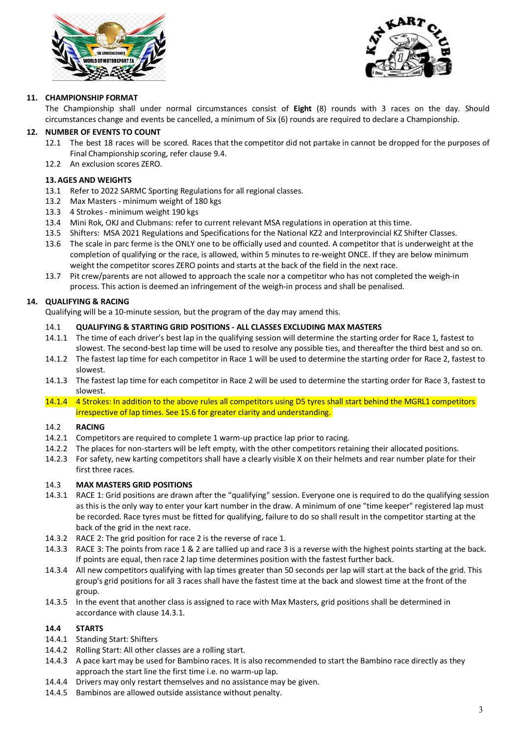



# **11. CHAMPIONSHIP FORMAT**

The Championship shall under normal circumstances consist of **Eight** (8) rounds with 3 races on the day. Should circumstances change and events be cancelled, a minimum of Six (6) rounds are required to declare a Championship.

#### **12. NUMBER OF EVENTS TO COUNT**

- 12.1 The best 18 races will be scored. Races that the competitor did not partake in cannot be dropped for the purposes of Final Championship scoring, refer clause 9.4.
- 12.2 An exclusion scores ZERO.

#### **13.AGES AND WEIGHTS**

- 13.1 Refer to 2022 SARMC Sporting Regulations for all regional classes.
- 13.2 Max Masters minimum weight of 180 kgs
- 13.3 4 Strokes minimum weight 190 kgs
- 13.4 Mini Rok, OKJ and Clubmans: refer to current relevant MSA regulations in operation at this time.
- 13.5 Shifters: MSA 2021 Regulations and Specifications for the National KZ2 and Interprovincial KZ Shifter Classes.
- 13.6 The scale in parc ferme is the ONLY one to be officially used and counted. A competitor that is underweight at the completion of qualifying or the race, is allowed, within 5 minutes to re-weight ONCE. If they are below minimum weight the competitor scores ZERO points and starts at the back of the field in the next race.
- 13.7 Pit crew/parents are not allowed to approach the scale nor a competitor who has not completed the weigh-in process. This action is deemed an infringement of the weigh-in process and shall be penalised.

### **14. QUALIFYING & RACING**

Qualifying will be a 10-minute session, but the program of the day may amend this.

# 14.1 **QUALIFYING & STARTING GRID POSITIONS - ALL CLASSES EXCLUDING MAX MASTERS**

- 14.1.1 The time of each driver's best lap in the qualifying session will determine the starting order for Race 1, fastest to slowest. The second-best lap time will be used to resolve any possible ties, and thereafter the third best and so on.
- 14.1.2 The fastest lap time for each competitor in Race 1 will be used to determine the starting order for Race 2, fastest to slowest.
- 14.1.3 The fastest lap time for each competitor in Race 2 will be used to determine the starting order for Race 3, fastest to slowest.
- 14.1.4 4 Strokes: In addition to the above rules all competitors using D5 tyres shall start behind the MGRL1 competitors irrespective of lap times. See 15.6 for greater clarity and understanding.

#### 14.2 **RACING**

- 14.2.1 Competitors are required to complete 1 warm-up practice lap prior to racing.
- 14.2.2 The places for non-starters will be left empty, with the other competitors retaining their allocated positions.
- 14.2.3 For safety, new karting competitors shall have a clearly visible X on their helmets and rear number plate for their first three races.

#### 14.3 **MAX MASTERS GRID POSITIONS**

- 14.3.1 RACE 1: Grid positions are drawn after the "qualifying" session. Everyone one is required to do the qualifying session as this is the only way to enter your kart number in the draw. A minimum of one "time keeper" registered lap must be recorded. Race tyres must be fitted for qualifying, failure to do so shall result in the competitor starting at the back of the grid in the next race.
- 14.3.2 RACE 2: The grid position for race 2 is the reverse of race 1.
- 14.3.3 RACE 3: The points from race 1 & 2 are tallied up and race 3 is a reverse with the highest points starting at the back. If points are equal, then race 2 lap time determines position with the fastest further back.
- 14.3.4 All new competitors qualifying with lap times greater than 50 seconds per lap will start at the back of the grid. This group's grid positions for all 3 races shall have the fastest time at the back and slowest time at the front of the group.
- 14.3.5 In the event that another class is assigned to race with Max Masters, grid positions shall be determined in accordance with clause 14.3.1.

# **14.4 STARTS**

- 14.4.1 Standing Start: Shifters
- 14.4.2 Rolling Start: All other classes are a rolling start.
- 14.4.3 A pace kart may be used for Bambino races. It is also recommended to start the Bambino race directly as they approach the start line the first time i.e. no warm-up lap.
- 14.4.4 Drivers may only restart themselves and no assistance may be given.
- 14.4.5 Bambinos are allowed outside assistance without penalty.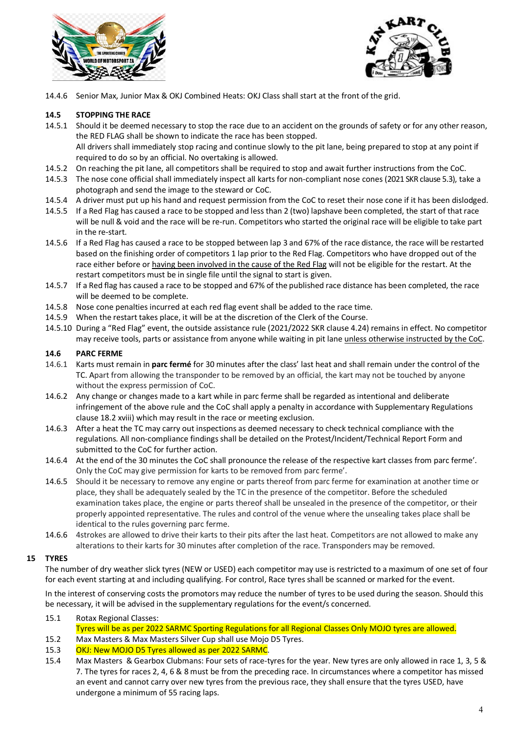



14.4.6 Senior Max, Junior Max & OKJ Combined Heats: OKJ Class shall start at the front of the grid.

# **14.5 STOPPING THE RACE**

- 14.5.1 Should it be deemed necessary to stop the race due to an accident on the grounds of safety or for any other reason, the RED FLAG shall be shown to indicate the race has been stopped. All drivers shall immediately stop racing and continue slowly to the pit lane, being prepared to stop at any point if required to do so by an official. No overtaking is allowed.
- 14.5.2 On reaching the pit lane, all competitors shall be required to stop and await further instructions from the CoC.
- 14.5.3 The nose cone official shall immediately inspect all karts for non-compliant nose cones (2021 SKR clause 5.3), take a photograph and send the image to the steward or CoC.
- 14.5.4 A driver must put up his hand and request permission from the CoC to reset their nose cone if it has been dislodged.
- 14.5.5 If a Red Flag has caused a race to be stopped and less than 2 (two) lapshave been completed, the start of that race will be null & void and the race will be re-run. Competitors who started the original race will be eligible to take part in the re-start.
- 14.5.6 If a Red Flag has caused a race to be stopped between lap 3 and 67% of the race distance, the race will be restarted based on the finishing order of competitors 1 lap prior to the Red Flag. Competitors who have dropped out of the race either before or having been involved in the cause of the Red Flag will not be eligible for the restart. At the restart competitors must be in single file until the signal to start is given.
- 14.5.7 If a Red flag has caused a race to be stopped and 67% of the published race distance has been completed, the race will be deemed to be complete.
- 14.5.8 Nose cone penalties incurred at each red flag event shall be added to the race time.
- 14.5.9 When the restart takes place, it will be at the discretion of the Clerk of the Course.
- 14.5.10 During a "Red Flag" event, the outside assistance rule (2021/2022 SKR clause 4.24) remains in effect. No competitor may receive tools, parts or assistance from anyone while waiting in pit lane unless otherwise instructed by the CoC.

# **14.6 PARC FERME**

- 14.6.1 Karts must remain in **parc fermé** for 30 minutes after the class' last heat and shall remain under the control of the TC. Apart from allowing the transponder to be removed by an official, the kart may not be touched by anyone without the express permission of CoC.
- 14.6.2 Any change or changes made to a kart while in parc ferme shall be regarded as intentional and deliberate infringement of the above rule and the CoC shall apply a penalty in accordance with Supplementary Regulations clause 18.2 xviii) which may result in the race or meeting exclusion.
- 14.6.3 After a heat the TC may carry out inspections as deemed necessary to check technical compliance with the regulations. All non-compliance findings shall be detailed on the Protest/Incident/Technical Report Form and submitted to the CoC for further action.
- 14.6.4 At the end of the 30 minutes the CoC shall pronounce the release of the respective kart classes from parc ferme'. Only the CoC may give permission for karts to be removed from parc ferme'.
- 14.6.5 Should it be necessary to remove any engine or parts thereof from parc ferme for examination at another time or place, they shall be adequately sealed by the TC in the presence of the competitor. Before the scheduled examination takes place, the engine or parts thereof shall be unsealed in the presence of the competitor, or their properly appointed representative. The rules and control of the venue where the unsealing takes place shall be identical to the rules governing parc ferme.
- 14.6.6 4strokes are allowed to drive their karts to their pits after the last heat. Competitors are not allowed to make any alterations to their karts for 30 minutes after completion of the race. Transponders may be removed.

#### **15 TYRES**

The number of dry weather slick tyres (NEW or USED) each competitor may use is restricted to a maximum of one set of four for each event starting at and including qualifying. For control, Race tyres shall be scanned or marked for the event.

In the interest of conserving costs the promotors may reduce the number of tyres to be used during the season. Should this be necessary, it will be advised in the supplementary regulations for the event/s concerned.

- 15.1 Rotax Regional Classes:
- Tyres will be as per 2022 SARMC Sporting Regulations for all Regional Classes Only MOJO tyres are allowed.
- 15.2 Max Masters & Max Masters Silver Cup shall use Mojo D5 Tyres.
- 15.3 OKJ: New MOJO D5 Tyres allowed as per 2022 SARMC.
- 15.4 Max Masters & Gearbox Clubmans: Four sets of race-tyres for the year. New tyres are only allowed in race 1, 3, 5 & 7. The tyres for races 2, 4, 6 & 8 must be from the preceding race. In circumstances where a competitor has missed an event and cannot carry over new tyres from the previous race, they shall ensure that the tyres USED, have undergone a minimum of 55 racing laps.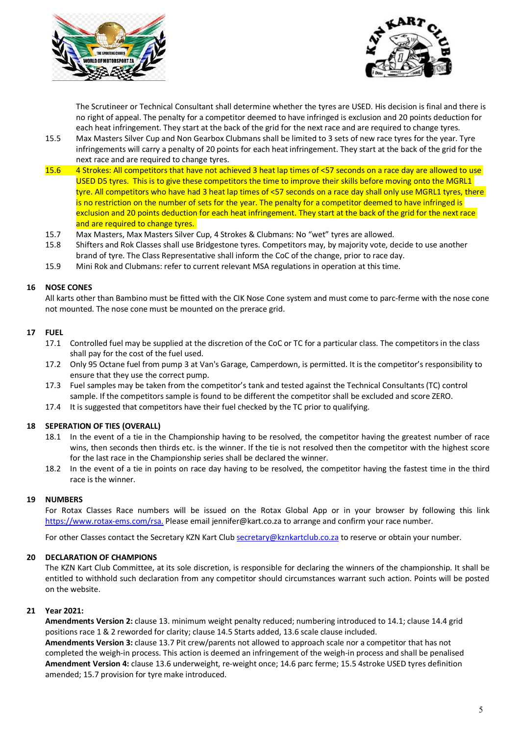



The Scrutineer or Technical Consultant shall determine whether the tyres are USED. His decision is final and there is no right of appeal. The penalty for a competitor deemed to have infringed is exclusion and 20 points deduction for each heat infringement. They start at the back of the grid for the next race and are required to change tyres.

- 15.5 Max Masters Silver Cup and Non Gearbox Clubmans shall be limited to 3 sets of new race tyres for the year. Tyre infringements will carry a penalty of 20 points for each heat infringement. They start at the back of the grid for the next race and are required to change tyres.
- 15.6 4 Strokes: All competitors that have not achieved 3 heat lap times of <57 seconds on a race day are allowed to use USED D5 tyres. This is to give these competitors the time to improve their skills before moving onto the MGRL1 tyre. All competitors who have had 3 heat lap times of <57 seconds on a race day shall only use MGRL1 tyres, there is no restriction on the number of sets for the year. The penalty for a competitor deemed to have infringed is exclusion and 20 points deduction for each heat infringement. They start at the back of the grid for the next race and are required to change tyres.
- 15.7 Max Masters, Max Masters Silver Cup, 4 Strokes & Clubmans: No "wet" tyres are allowed.
- 15.8 Shifters and Rok Classes shall use Bridgestone tyres. Competitors may, by majority vote, decide to use another brand of tyre. The Class Representative shall inform the CoC of the change, prior to race day.
- 15.9 Mini Rok and Clubmans: refer to current relevant MSA regulations in operation at this time.

#### **16 NOSE CONES**

All karts other than Bambino must be fitted with the CIK Nose Cone system and must come to parc-ferme with the nose cone not mounted. The nose cone must be mounted on the prerace grid.

#### **17 FUEL**

- 17.1 Controlled fuel may be supplied at the discretion of the CoC or TC for a particular class. The competitors in the class shall pay for the cost of the fuel used.
- 17.2 Only 95 Octane fuel from pump 3 at Van's Garage, Camperdown, is permitted. It is the competitor's responsibility to ensure that they use the correct pump.
- 17.3 Fuel samples may be taken from the competitor's tank and tested against the Technical Consultants (TC) control sample. If the competitors sample is found to be different the competitor shall be excluded and score ZERO.
- 17.4 It is suggested that competitors have their fuel checked by the TC prior to qualifying.

### **18 SEPERATION OF TIES (OVERALL)**

- 18.1 In the event of a tie in the Championship having to be resolved, the competitor having the greatest number of race wins, then seconds then thirds etc. is the winner. If the tie is not resolved then the competitor with the highest score for the last race in the Championship series shall be declared the winner.
- 18.2 In the event of a tie in points on race day having to be resolved, the competitor having the fastest time in the third race is the winner.

#### **19 NUMBERS**

For Rotax Classes Race numbers will be issued on the Rotax Global App or in your browser by following this link https://www.rotax-ems.com/rsa. Please email jennifer@kart.co.za to arrange and confirm your race number.

For other Classes contact the Secretary KZN Kart Club secretary@kznkartclub.co.za to reserve or obtain your number.

#### **20 DECLARATION OF CHAMPIONS**

The KZN Kart Club Committee, at its sole discretion, is responsible for declaring the winners of the championship. It shall be entitled to withhold such declaration from any competitor should circumstances warrant such action. Points will be posted on the website.

#### **21 Year 2021:**

**Amendments Version 2:** clause 13. minimum weight penalty reduced; numbering introduced to 14.1; clause 14.4 grid positions race 1 & 2 reworded for clarity; clause 14.5 Starts added, 13.6 scale clause included.

**Amendments Version 3:** clause 13.7 Pit crew/parents not allowed to approach scale nor a competitor that has not completed the weigh-in process. This action is deemed an infringement of the weigh-in process and shall be penalised **Amendment Version 4:** clause 13.6 underweight, re-weight once; 14.6 parc ferme; 15.5 4stroke USED tyres definition amended; 15.7 provision for tyre make introduced.